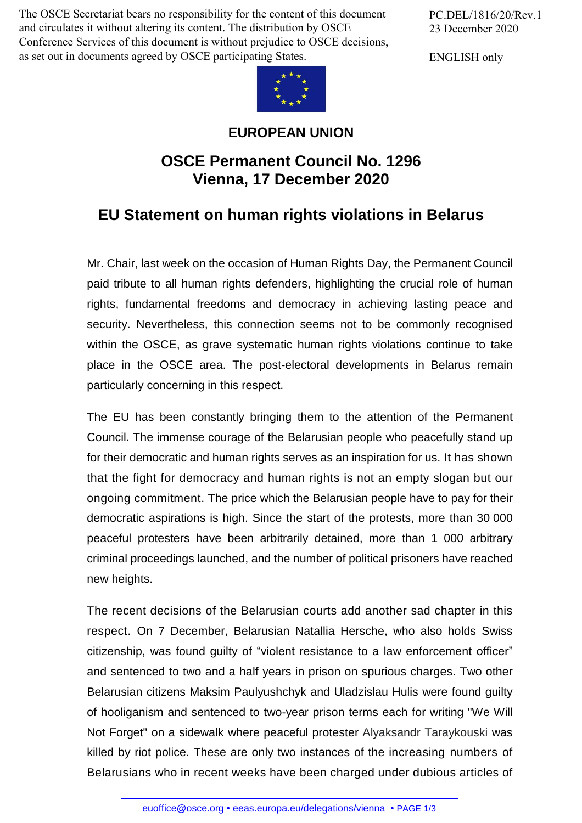The OSCE Secretariat bears no responsibility for the content of this document and circulates it without altering its content. The distribution by OSCE Conference Services of this document is without prejudice to OSCE decisions, as set out in documents agreed by OSCE participating States.



ENGLISH only



## **EUROPEAN UNION**

## **OSCE Permanent Council No. 1296 Vienna, 17 December 2020**

## **EU Statement on human rights violations in Belarus**

Mr. Chair, last week on the occasion of Human Rights Day, the Permanent Council paid tribute to all human rights defenders, highlighting the crucial role of human rights, fundamental freedoms and democracy in achieving lasting peace and security. Nevertheless, this connection seems not to be commonly recognised within the OSCE, as grave systematic human rights violations continue to take place in the OSCE area. The post-electoral developments in Belarus remain particularly concerning in this respect.

The EU has been constantly bringing them to the attention of the Permanent Council. The immense courage of the Belarusian people who peacefully stand up for their democratic and human rights serves as an inspiration for us. It has shown that the fight for democracy and human rights is not an empty slogan but our ongoing commitment. The price which the Belarusian people have to pay for their democratic aspirations is high. Since the start of the protests, more than 30 000 peaceful protesters have been arbitrarily detained, more than 1 000 arbitrary criminal proceedings launched, and the number of political prisoners have reached new heights.

The recent decisions of the Belarusian courts add another sad chapter in this respect. On 7 December, Belarusian Natallia Hersche, who also holds Swiss citizenship, was found guilty of "violent resistance to a law enforcement officer" and sentenced to two and a half years in prison on spurious charges. Two other Belarusian citizens Maksim Paulyushchyk and Uladzislau Hulis were found guilty of hooliganism and sentenced to two-year prison terms each for writing "We Will Not Forget" on a sidewalk where peaceful protester Alyaksandr Taraykouski was killed by riot police. These are only two instances of the increasing numbers of Belarusians who in [recent](mailto:euoffice@osce.org) weeks have been [charged](http://eeas.europa.eu/delegations/vienna) under dubious articles of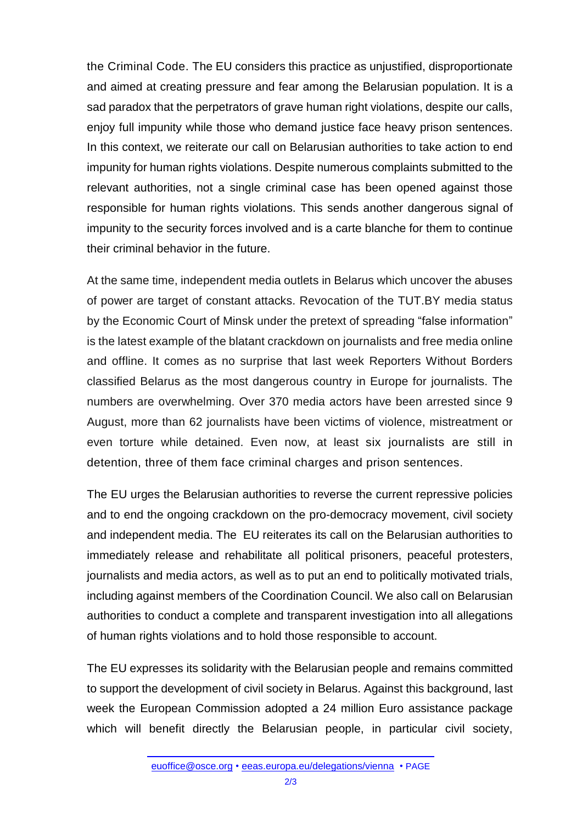the Criminal Code. The EU considers this practice as unjustified, disproportionate and aimed at creating pressure and fear among the Belarusian population. It is a sad paradox that the perpetrators of grave human right violations, despite our calls, enjoy full impunity while those who demand justice face heavy prison sentences. In this context, we reiterate our call on Belarusian authorities to take action to end impunity for human rights violations. Despite numerous complaints submitted to the relevant authorities, not a single criminal case has been opened against those responsible for human rights violations. This sends another dangerous signal of impunity to the security forces involved and is a carte blanche for them to continue their criminal behavior in the future.

At the same time, independent media outlets in Belarus which uncover the abuses of power are target of constant attacks. Revocation of the TUT.BY media status by the Economic Court of Minsk under the pretext of spreading "false information" is the latest example of the blatant crackdown on journalists and free media online and offline. It comes as no surprise that last week Reporters Without Borders classified Belarus as the most dangerous country in Europe for journalists. The numbers are overwhelming. Over 370 media actors have been arrested since 9 August, more than 62 journalists have been victims of violence, mistreatment or even torture while detained. Even now, at least six journalists are still in detention, three of them face criminal charges and prison sentences.

The EU urges the Belarusian authorities to reverse the current repressive policies and to end the ongoing crackdown on the pro-democracy movement, civil society and independent media. The EU reiterates its call on the Belarusian authorities to immediately release and rehabilitate all political prisoners, peaceful protesters, journalists and media actors, as well as to put an end to politically motivated trials, including against members of the Coordination Council. We also call on Belarusian authorities to conduct a complete and transparent investigation into all allegations of human rights violations and to hold those responsible to account.

The EU expresses its solidarity with the Belarusian people and remains committed to support the development of civil society in Belarus. Against this background, last week the European Commission adopted a 24 million Euro assistance package which will benefit directly the Belarusian people, in particular civil society,